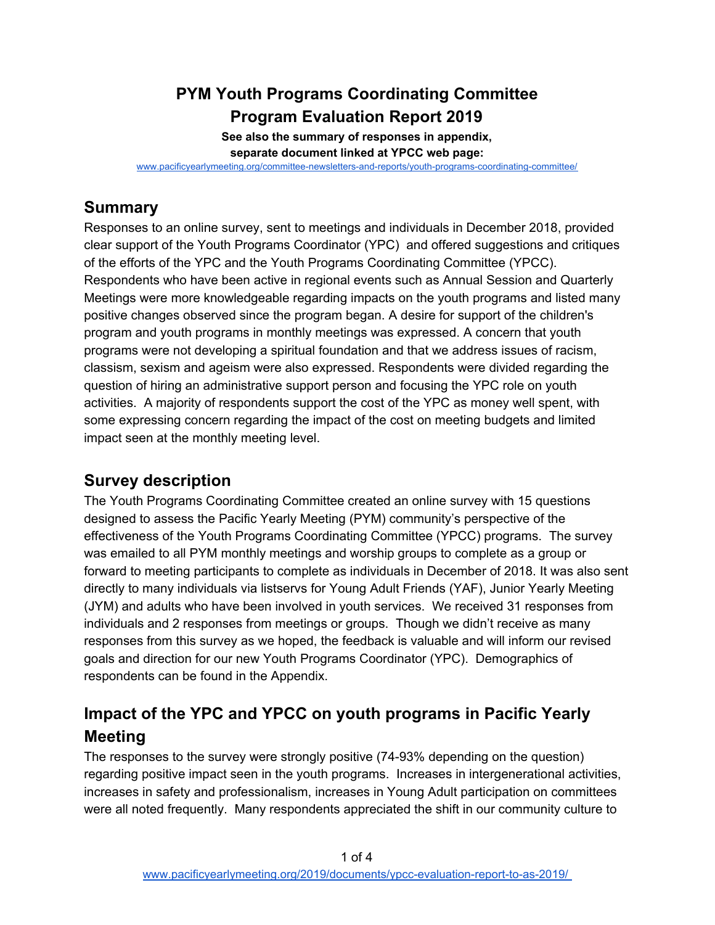## **PYM Youth Programs Coordinating Committee Program Evaluation Report 2019**

**See also the summary of responses in appendix, separate document linked at YPCC web page:**

[www.pacificyearlymeeting.org/committee-newsletters-and-reports/youth-programs-coordinating-committee/](https://www.pacificyearlymeeting.org/committee-newsletters-and-reports/youth-programs-coordinating-committee/)

## **Summary**

Responses to an online survey, sent to meetings and individuals in December 2018, provided clear support of the Youth Programs Coordinator (YPC) and offered suggestions and critiques of the efforts of the YPC and the Youth Programs Coordinating Committee (YPCC). Respondents who have been active in regional events such as Annual Session and Quarterly Meetings were more knowledgeable regarding impacts on the youth programs and listed many positive changes observed since the program began. A desire for support of the children's program and youth programs in monthly meetings was expressed. A concern that youth programs were not developing a spiritual foundation and that we address issues of racism, classism, sexism and ageism were also expressed. Respondents were divided regarding the question of hiring an administrative support person and focusing the YPC role on youth activities. A majority of respondents support the cost of the YPC as money well spent, with some expressing concern regarding the impact of the cost on meeting budgets and limited impact seen at the monthly meeting level.

## **Survey description**

The Youth Programs Coordinating Committee created an online survey with 15 questions designed to assess the Pacific Yearly Meeting (PYM) community's perspective of the effectiveness of the Youth Programs Coordinating Committee (YPCC) programs. The survey was emailed to all PYM monthly meetings and worship groups to complete as a group or forward to meeting participants to complete as individuals in December of 2018. It was also sent directly to many individuals via listservs for Young Adult Friends (YAF), Junior Yearly Meeting (JYM) and adults who have been involved in youth services. We received 31 responses from individuals and 2 responses from meetings or groups. Though we didn't receive as many responses from this survey as we hoped, the feedback is valuable and will inform our revised goals and direction for our new Youth Programs Coordinator (YPC). Demographics of respondents can be found in the Appendix.

# **Impact of the YPC and YPCC on youth programs in Pacific Yearly Meeting**

The responses to the survey were strongly positive (74-93% depending on the question) regarding positive impact seen in the youth programs. Increases in intergenerational activities, increases in safety and professionalism, increases in Young Adult participation on committees were all noted frequently. Many respondents appreciated the shift in our community culture to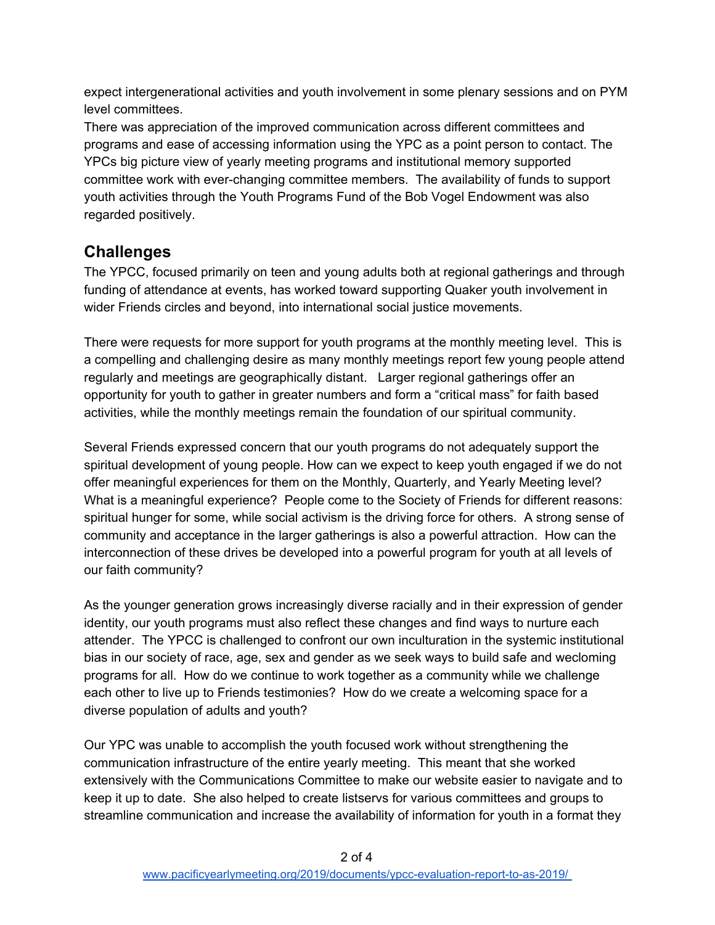expect intergenerational activities and youth involvement in some plenary sessions and on PYM level committees.

There was appreciation of the improved communication across different committees and programs and ease of accessing information using the YPC as a point person to contact. The YPCs big picture view of yearly meeting programs and institutional memory supported committee work with ever-changing committee members. The availability of funds to support youth activities through the Youth Programs Fund of the Bob Vogel Endowment was also regarded positively.

### **Challenges**

The YPCC, focused primarily on teen and young adults both at regional gatherings and through funding of attendance at events, has worked toward supporting Quaker youth involvement in wider Friends circles and beyond, into international social justice movements.

There were requests for more support for youth programs at the monthly meeting level. This is a compelling and challenging desire as many monthly meetings report few young people attend regularly and meetings are geographically distant. Larger regional gatherings offer an opportunity for youth to gather in greater numbers and form a "critical mass" for faith based activities, while the monthly meetings remain the foundation of our spiritual community.

Several Friends expressed concern that our youth programs do not adequately support the spiritual development of young people. How can we expect to keep youth engaged if we do not offer meaningful experiences for them on the Monthly, Quarterly, and Yearly Meeting level? What is a meaningful experience? People come to the Society of Friends for different reasons: spiritual hunger for some, while social activism is the driving force for others. A strong sense of community and acceptance in the larger gatherings is also a powerful attraction. How can the interconnection of these drives be developed into a powerful program for youth at all levels of our faith community?

As the younger generation grows increasingly diverse racially and in their expression of gender identity, our youth programs must also reflect these changes and find ways to nurture each attender. The YPCC is challenged to confront our own inculturation in the systemic institutional bias in our society of race, age, sex and gender as we seek ways to build safe and wecloming programs for all. How do we continue to work together as a community while we challenge each other to live up to Friends testimonies? How do we create a welcoming space for a diverse population of adults and youth?

Our YPC was unable to accomplish the youth focused work without strengthening the communication infrastructure of the entire yearly meeting. This meant that she worked extensively with the Communications Committee to make our website easier to navigate and to keep it up to date. She also helped to create listservs for various committees and groups to streamline communication and increase the availability of information for youth in a format they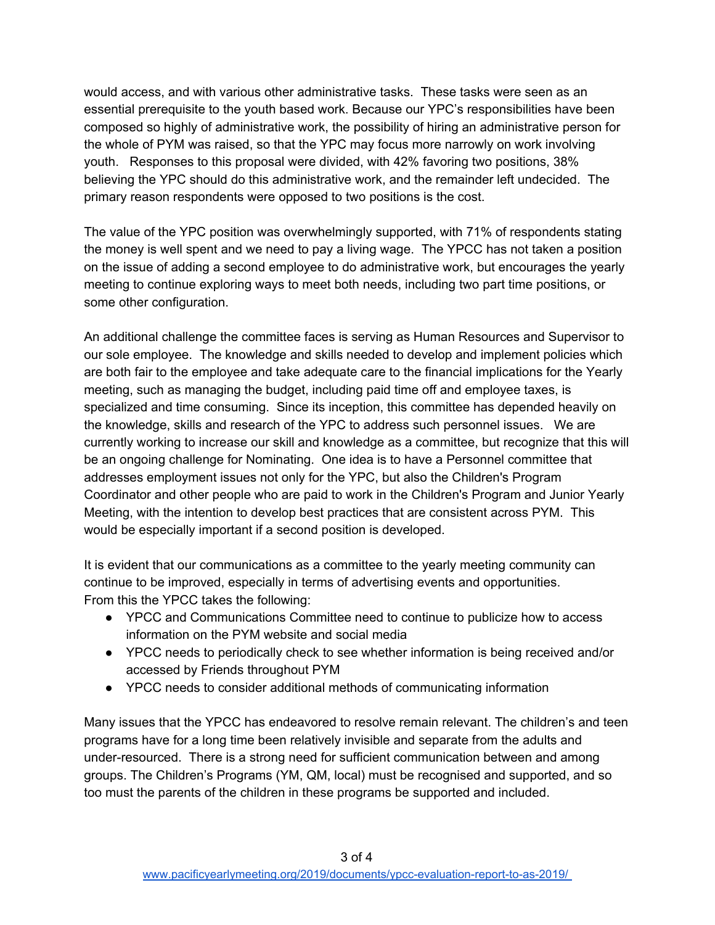would access, and with various other administrative tasks. These tasks were seen as an essential prerequisite to the youth based work. Because our YPC's responsibilities have been composed so highly of administrative work, the possibility of hiring an administrative person for the whole of PYM was raised, so that the YPC may focus more narrowly on work involving youth. Responses to this proposal were divided, with 42% favoring two positions, 38% believing the YPC should do this administrative work, and the remainder left undecided. The primary reason respondents were opposed to two positions is the cost.

The value of the YPC position was overwhelmingly supported, with 71% of respondents stating the money is well spent and we need to pay a living wage. The YPCC has not taken a position on the issue of adding a second employee to do administrative work, but encourages the yearly meeting to continue exploring ways to meet both needs, including two part time positions, or some other configuration.

An additional challenge the committee faces is serving as Human Resources and Supervisor to our sole employee. The knowledge and skills needed to develop and implement policies which are both fair to the employee and take adequate care to the financial implications for the Yearly meeting, such as managing the budget, including paid time off and employee taxes, is specialized and time consuming. Since its inception, this committee has depended heavily on the knowledge, skills and research of the YPC to address such personnel issues. We are currently working to increase our skill and knowledge as a committee, but recognize that this will be an ongoing challenge for Nominating. One idea is to have a Personnel committee that addresses employment issues not only for the YPC, but also the Children's Program Coordinator and other people who are paid to work in the Children's Program and Junior Yearly Meeting, with the intention to develop best practices that are consistent across PYM. This would be especially important if a second position is developed.

It is evident that our communications as a committee to the yearly meeting community can continue to be improved, especially in terms of advertising events and opportunities. From this the YPCC takes the following:

- YPCC and Communications Committee need to continue to publicize how to access information on the PYM website and social media
- YPCC needs to periodically check to see whether information is being received and/or accessed by Friends throughout PYM
- YPCC needs to consider additional methods of communicating information

Many issues that the YPCC has endeavored to resolve remain relevant. The children's and teen programs have for a long time been relatively invisible and separate from the adults and under-resourced. There is a strong need for sufficient communication between and among groups. The Children's Programs (YM, QM, local) must be recognised and supported, and so too must the parents of the children in these programs be supported and included.